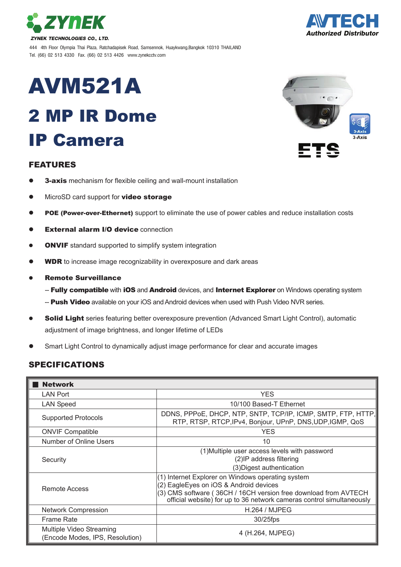

444 4th Floor Olympia Thai Plaza, Ratchadapisek Road, Samsennok, Huaykwang,Bangkok 10310 THAILAND Tel. (66) 02 513 4330 Fax. (66) 02 513 4426 www.zynekcctv.com

# AVM521A

# 2 MP IR Dome IP Camera

#### FEATURES

- **3-axis** mechanism for flexible ceiling and wall-mount installation
- MicroSD card support for **video storage**
- POE (Power-over-Ethernet) support to eliminate the use of power cables and reduce installation costs
- External alarm I/O device connection
- **ONVIF** standard supported to simplify system integration
- WDR to increase image recognizability in overexposure and dark areas
- Remote Surveillance
	- -- Fully compatible with iOS and Android devices, and Internet Explorer on Windows operating system
	- -- Push Video available on your iOS and Android devices when used with Push Video NVR series.
- Solid Light series featuring better overexposure prevention (Advanced Smart Light Control), automatic adjustment of image brightness, and longer lifetime of LEDs
- Smart Light Control to dynamically adjust image performance for clear and accurate images

### SPECIFICATIONS

| <b>Network</b>                                              |                                                                                                                                                                                                                                         |
|-------------------------------------------------------------|-----------------------------------------------------------------------------------------------------------------------------------------------------------------------------------------------------------------------------------------|
| LAN Port                                                    | <b>YES</b>                                                                                                                                                                                                                              |
| <b>LAN Speed</b>                                            | 10/100 Based-T Ethernet                                                                                                                                                                                                                 |
| <b>Supported Protocols</b>                                  | DDNS, PPPoE, DHCP, NTP, SNTP, TCP/IP, ICMP, SMTP, FTP, HTTP,<br>RTP, RTSP, RTCP, IPv4, Bonjour, UPnP, DNS, UDP, IGMP, QoS                                                                                                               |
| <b>ONVIF Compatible</b>                                     | <b>YES</b>                                                                                                                                                                                                                              |
| Number of Online Users                                      | 10                                                                                                                                                                                                                                      |
| Security                                                    | (1) Multiple user access levels with password<br>(2) IP address filtering<br>(3) Digest authentication                                                                                                                                  |
| Remote Access                                               | (1) Internet Explorer on Windows operating system<br>(2) EagleEyes on iOS & Android devices<br>(3) CMS software (36CH / 16CH version free download from AVTECH<br>official website) for up to 36 network cameras control simultaneously |
| <b>Network Compression</b>                                  | <b>H.264 / MJPEG</b>                                                                                                                                                                                                                    |
| <b>Frame Rate</b>                                           | 30/25fps                                                                                                                                                                                                                                |
| Multiple Video Streaming<br>(Encode Modes, IPS, Resolution) | 4 (H.264, MJPEG)                                                                                                                                                                                                                        |